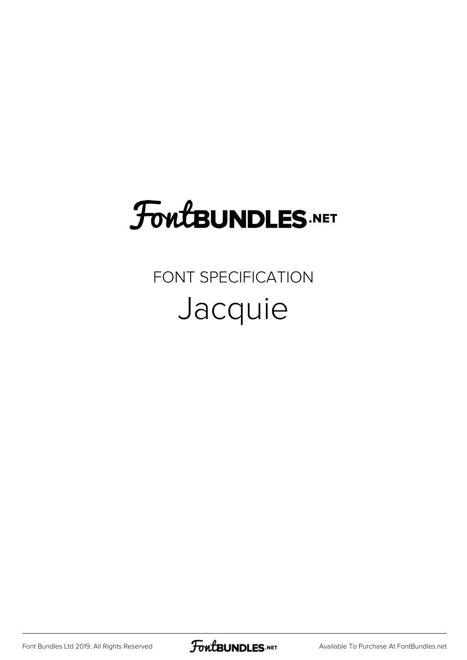## FoutBUNDLES.NET

## FONT SPECIFICATION Jacquie

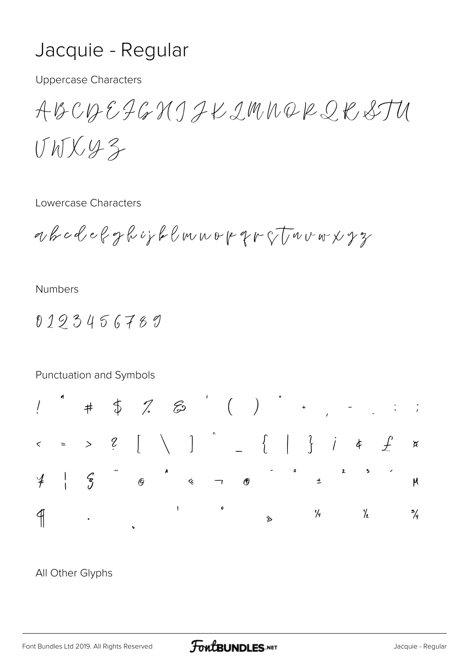## Jacquie - Regular

**Uppercase Characters** 

ABCDEJGXJJKIMNQRQKSTU UNX43

Lowercase Characters

ahcdefghijklmuopprotuvoryz

**Numbers** 

0193456789



## All Other Glyphs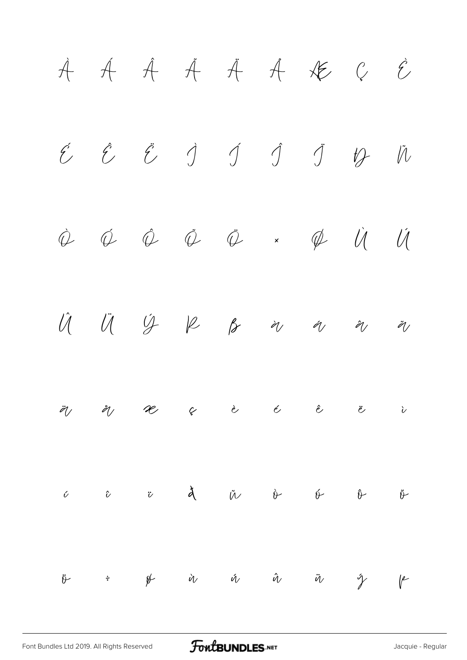